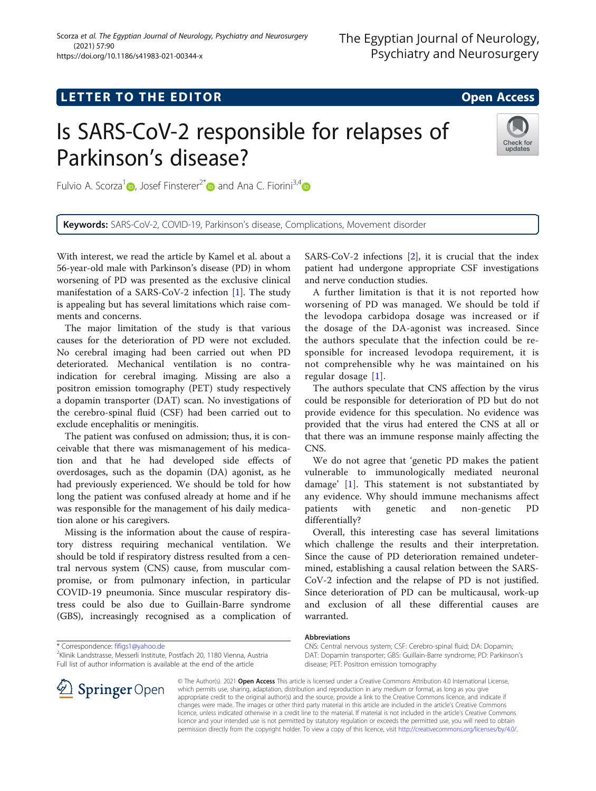## **LETTER TO THE EDITOR CONSIDERING ACCESS**

# Is SARS-CoV-2 responsible for relapses of Parkinson's disease?



Fulvio A. Scorza<sup>[1](https://orcid.org/0000-0002-0694-8674)</sup> $\oplus$ , Josef Finsterer<sup>2[\\*](http://orcid.org/0000-0003-2839-7305)</sup> $\oplus$  and Ana C. Fiorini<sup>3,4</sup> $\oplus$ 

Keywords: SARS-CoV-2, COVID-19, Parkinson's disease, Complications, Movement disorder

With interest, we read the article by Kamel et al. about a 56-year-old male with Parkinson's disease (PD) in whom worsening of PD was presented as the exclusive clinical manifestation of a SARS-CoV-2 infection [\[1\]](#page-1-0). The study is appealing but has several limitations which raise comments and concerns.

The major limitation of the study is that various causes for the deterioration of PD were not excluded. No cerebral imaging had been carried out when PD deteriorated. Mechanical ventilation is no contraindication for cerebral imaging. Missing are also a positron emission tomography (PET) study respectively a dopamin transporter (DAT) scan. No investigations of the cerebro-spinal fluid (CSF) had been carried out to exclude encephalitis or meningitis.

The patient was confused on admission; thus, it is conceivable that there was mismanagement of his medication and that he had developed side effects of overdosages, such as the dopamin (DA) agonist, as he had previously experienced. We should be told for how long the patient was confused already at home and if he was responsible for the management of his daily medication alone or his caregivers.

Missing is the information about the cause of respiratory distress requiring mechanical ventilation. We should be told if respiratory distress resulted from a central nervous system (CNS) cause, from muscular compromise, or from pulmonary infection, in particular COVID-19 pneumonia. Since muscular respiratory distress could be also due to Guillain-Barre syndrome (GBS), increasingly recognised as a complication of

\* Correspondence: [fifigs1@yahoo.de](mailto:fifigs1@yahoo.de) <sup>2</sup>

<sup>2</sup>Klinik Landstrasse, Messerli Institute, Postfach 20, 1180 Vienna, Austria Full list of author information is available at the end of the article

SARS-CoV-2 infections [\[2](#page-1-0)], it is crucial that the index patient had undergone appropriate CSF investigations and nerve conduction studies.

A further limitation is that it is not reported how worsening of PD was managed. We should be told if the levodopa carbidopa dosage was increased or if the dosage of the DA-agonist was increased. Since the authors speculate that the infection could be responsible for increased levodopa requirement, it is not comprehensible why he was maintained on his regular dosage [[1\]](#page-1-0).

The authors speculate that CNS affection by the virus could be responsible for deterioration of PD but do not provide evidence for this speculation. No evidence was provided that the virus had entered the CNS at all or that there was an immune response mainly affecting the CNS.

We do not agree that 'genetic PD makes the patient vulnerable to immunologically mediated neuronal damage' [[1\]](#page-1-0). This statement is not substantiated by any evidence. Why should immune mechanisms affect patients with genetic and non-genetic PD differentially?

Overall, this interesting case has several limitations which challenge the results and their interpretation. Since the cause of PD deterioration remained undetermined, establishing a causal relation between the SARS-CoV-2 infection and the relapse of PD is not justified. Since deterioration of PD can be multicausal, work-up and exclusion of all these differential causes are warranted.

#### Abbreviations

licence, unless indicated otherwise in a credit line to the material. If material is not included in the article's Creative Commons licence and your intended use is not permitted by statutory regulation or exceeds the permitted use, you will need to obtain permission directly from the copyright holder. To view a copy of this licence, visit <http://creativecommons.org/licenses/by/4.0/>.



© The Author(s). 2021 Open Access This article is licensed under a Creative Commons Attribution 4.0 International License, which permits use, sharing, adaptation, distribution and reproduction in any medium or format, as long as you give appropriate credit to the original author(s) and the source, provide a link to the Creative Commons licence, and indicate if changes were made. The images or other third party material in this article are included in the article's Creative Commons

CNS: Central nervous system; CSF: Cerebro-spinal fluid; DA: Dopamin; DAT: Dopamin transporter; GBS: Guillain-Barre syndrome; PD: Parkinson's disease; PET: Positron emission tomography